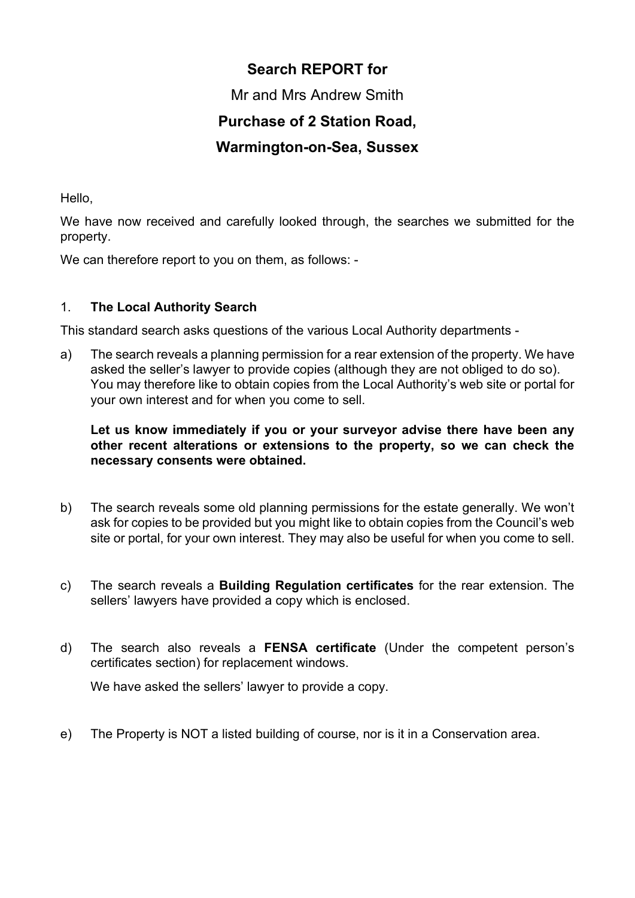# Search REPORT for

Mr and Mrs Andrew Smith

## Purchase of 2 Station Road,

## Warmington-on-Sea, Sussex

Hello,

We have now received and carefully looked through, the searches we submitted for the property.

We can therefore report to you on them, as follows: -

### 1. The Local Authority Search

This standard search asks questions of the various Local Authority departments -

a) The search reveals a planning permission for a rear extension of the property. We have asked the seller's lawyer to provide copies (although they are not obliged to do so). You may therefore like to obtain copies from the Local Authority's web site or portal for your own interest and for when you come to sell.

#### Let us know immediately if you or your surveyor advise there have been any other recent alterations or extensions to the property, so we can check the necessary consents were obtained.

- b) The search reveals some old planning permissions for the estate generally. We won't ask for copies to be provided but you might like to obtain copies from the Council's web site or portal, for your own interest. They may also be useful for when you come to sell.
- c) The search reveals a Building Regulation certificates for the rear extension. The sellers' lawyers have provided a copy which is enclosed.
- d) The search also reveals a FENSA certificate (Under the competent person's certificates section) for replacement windows.

We have asked the sellers' lawyer to provide a copy.

e) The Property is NOT a listed building of course, nor is it in a Conservation area.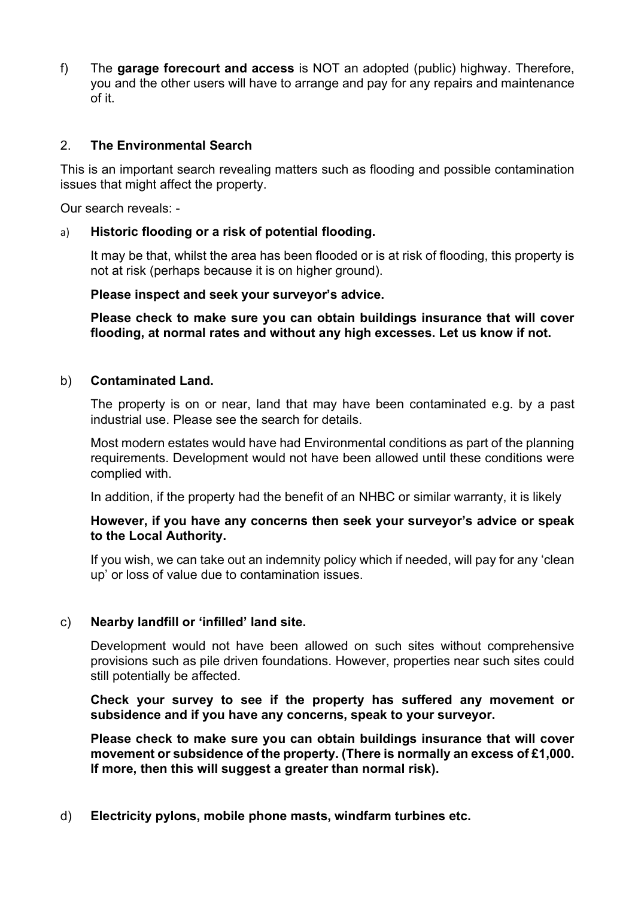f) The garage forecourt and access is NOT an adopted (public) highway. Therefore, you and the other users will have to arrange and pay for any repairs and maintenance of it.

#### 2. The Environmental Search

This is an important search revealing matters such as flooding and possible contamination issues that might affect the property.

Our search reveals: -

#### a) Historic flooding or a risk of potential flooding.

It may be that, whilst the area has been flooded or is at risk of flooding, this property is not at risk (perhaps because it is on higher ground).

#### Please inspect and seek your surveyor's advice.

Please check to make sure you can obtain buildings insurance that will cover flooding, at normal rates and without any high excesses. Let us know if not.

#### b) Contaminated Land.

The property is on or near, land that may have been contaminated e.g. by a past industrial use. Please see the search for details.

Most modern estates would have had Environmental conditions as part of the planning requirements. Development would not have been allowed until these conditions were complied with.

In addition, if the property had the benefit of an NHBC or similar warranty, it is likely

#### However, if you have any concerns then seek your surveyor's advice or speak to the Local Authority.

If you wish, we can take out an indemnity policy which if needed, will pay for any 'clean up' or loss of value due to contamination issues.

#### c) Nearby landfill or 'infilled' land site.

Development would not have been allowed on such sites without comprehensive provisions such as pile driven foundations. However, properties near such sites could still potentially be affected.

Check your survey to see if the property has suffered any movement or subsidence and if you have any concerns, speak to your surveyor.

Please check to make sure you can obtain buildings insurance that will cover movement or subsidence of the property. (There is normally an excess of £1,000. If more, then this will suggest a greater than normal risk).

#### d) Electricity pylons, mobile phone masts, windfarm turbines etc.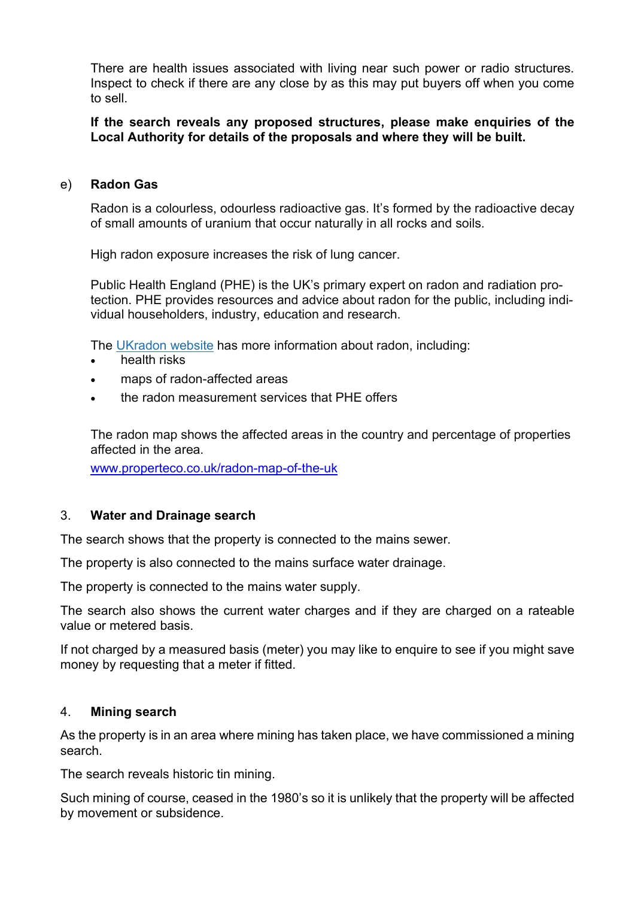There are health issues associated with living near such power or radio structures. Inspect to check if there are any close by as this may put buyers off when you come to sell.

If the search reveals any proposed structures, please make enquiries of the Local Authority for details of the proposals and where they will be built.

#### e) Radon Gas

Radon is a colourless, odourless radioactive gas. It's formed by the radioactive decay of small amounts of uranium that occur naturally in all rocks and soils.

High radon exposure increases the risk of lung cancer.

Public Health England (PHE) is the UK's primary expert on radon and radiation protection. PHE provides resources and advice about radon for the public, including individual householders, industry, education and research.

The UKradon website has more information about radon, including:

- health risks
- maps of radon-affected areas
- the radon measurement services that PHE offers

The radon map shows the affected areas in the country and percentage of properties affected in the area.

www.properteco.co.uk/radon-map-of-the-uk

#### 3. Water and Drainage search

The search shows that the property is connected to the mains sewer.

The property is also connected to the mains surface water drainage.

The property is connected to the mains water supply.

The search also shows the current water charges and if they are charged on a rateable value or metered basis.

If not charged by a measured basis (meter) you may like to enquire to see if you might save money by requesting that a meter if fitted.

#### 4. Mining search

As the property is in an area where mining has taken place, we have commissioned a mining search.

The search reveals historic tin mining.

Such mining of course, ceased in the 1980's so it is unlikely that the property will be affected by movement or subsidence.